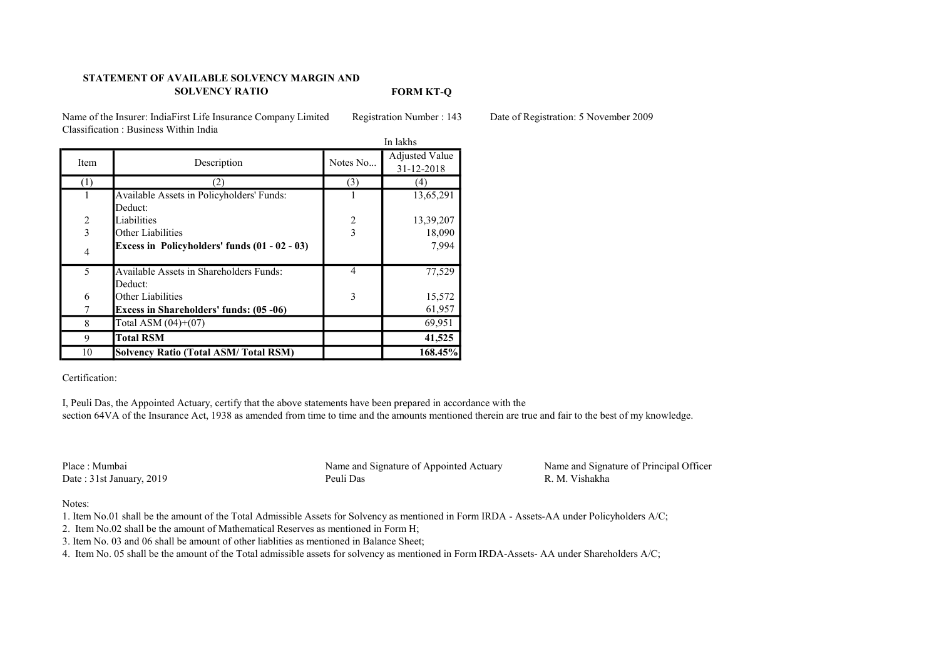## STATEMENT OF AVAILABLE SOLVENCY MARGIN AND SOLVENCY RATIO

FORM KT-Q

Name of the Insurer: IndiaFirst Life Insurance Company Limited Registration Number : 143 Date of Registration: 5 November 2009 Classification : Business Within India

|                |                                                | In lakhs                |                       |
|----------------|------------------------------------------------|-------------------------|-----------------------|
| <b>Item</b>    | Description                                    | Notes No                | <b>Adjusted Value</b> |
|                |                                                |                         | 31-12-2018            |
| $^{(1)}$       | 2)                                             | (3)                     | 41                    |
|                | Available Assets in Policyholders' Funds:      |                         | 13,65,291             |
|                | Deduct:                                        |                         |                       |
| $\sqrt{2}$     | Liabilities                                    | $\overline{\mathbf{c}}$ | 13,39,207             |
| $\overline{3}$ | Other Liabilities                              | $\overline{3}$          | 18,090                |
| 4              | Excess in Policyholders' funds (01 - 02 - 03)  |                         | 7,994                 |
| 5              | Available Assets in Shareholders Funds:        | $\overline{4}$          | 77,529                |
|                | Deduct:                                        |                         |                       |
| 6              | Other Liabilities                              | 3                       | 15,572                |
|                | <b>Excess in Shareholders' funds: (05 -06)</b> |                         | 61,957                |
| 8              | Total ASM $(04)+(07)$                          |                         | 69,951                |
| 9              | <b>Total RSM</b>                               |                         | 41,525                |
| 10             | <b>Solvency Ratio (Total ASM/Total RSM)</b>    |                         | 168.45%               |

Certification:

I, Peuli Das, the Appointed Actuary, certify that the above statements have been prepared in accordance with the section 64VA of the Insurance Act, 1938 as amended from time to time and the amounts mentioned therein are true and fair to the best of my knowledge.

Date : 31st January, 2019

Place : Mumbai Name and Signature of Appointed Actuary Name and Signature of Principal Officer<br>
Date : 31st January 2019 Peuli Das R. M. Vishakha

Notes:

1. Item No.01 shall be the amount of the Total Admissible Assets for Solvency as mentioned in Form IRDA - Assets-AA under Policyholders A/C;

2. Item No.02 shall be the amount of Mathematical Reserves as mentioned in Form H;

3. Item No. 03 and 06 shall be amount of other liablities as mentioned in Balance Sheet;

4. Item No. 05 shall be the amount of the Total admissible assets for solvency as mentioned in Form IRDA-Assets- AA under Shareholders A/C;